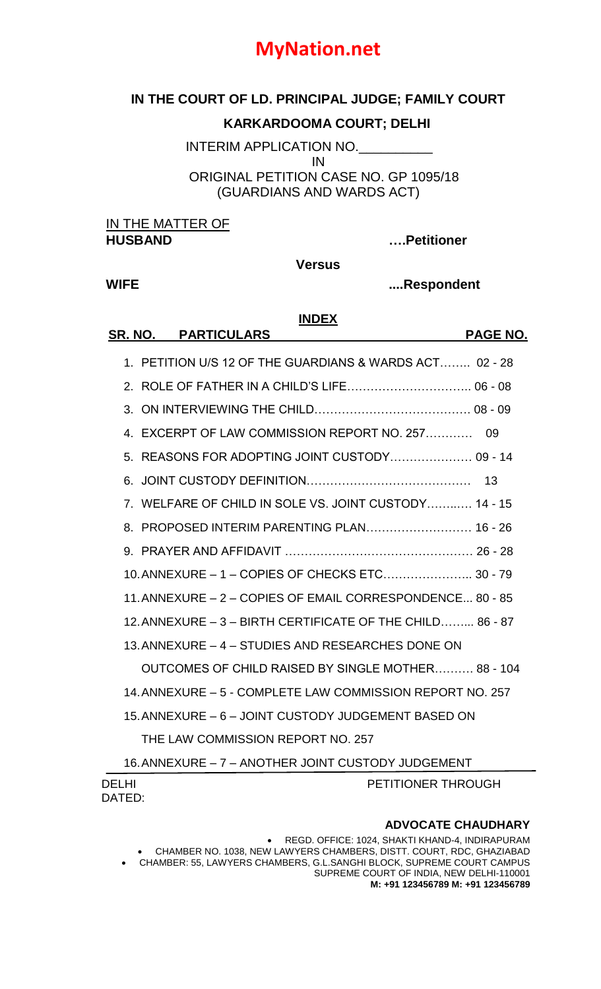# **IN THE COURT OF LD. PRINCIPAL JUDGE; FAMILY COURT**

#### **KARKARDOOMA COURT; DELHI**

INTERIM APPLICATION NO. IN ORIGINAL PETITION CASE NO. GP 1095/18 (GUARDIANS AND WARDS ACT)

IN THE MATTER OF **HUSBAND ….Petitioner** 

**Versus**

**INDEX SR. NO. PARTICULARS PAGE NO.**

## **WIFE ....Respondent**

# 1. PETITION U/S 12 OF THE GUARDIANS & WARDS ACT…….. 02 - 28 2. ROLE OF FATHER IN A CHILD'S LIFE………………………….. 06 - 08 3. ON INTERVIEWING THE CHILD…………………………………. 08 - 09 4. EXCERPT OF LAW COMMISSION REPORT NO. 257………… 09 5. REASONS FOR ADOPTING JOINT CUSTODY………………… 09 - 14 6. JOINT CUSTODY DEFINITION…………………………………… 13 7. WELFARE OF CHILD IN SOLE VS. JOINT CUSTODY……..…. 14 - 15 8. PROPOSED INTERIM PARENTING PLAN……………………… 16 - 26 9. PRAYER AND AFFIDAVIT ………………………………………… 26 - 28 10.ANNEXURE – 1 – COPIES OF CHECKS ETC………………….. 30 - 79 11.ANNEXURE – 2 – COPIES OF EMAIL CORRESPONDENCE... 80 - 85 12.ANNEXURE – 3 – BIRTH CERTIFICATE OF THE CHILD……... 86 - 87 13.ANNEXURE – 4 – STUDIES AND RESEARCHES DONE ON OUTCOMES OF CHILD RAISED BY SINGLE MOTHER………. 88 - 104 14.ANNEXURE – 5 - COMPLETE LAW COMMISSION REPORT NO. 257 15.ANNEXURE – 6 – JOINT CUSTODY JUDGEMENT BASED ON THE LAW COMMISSION REPORT NO. 257 16.ANNEXURE – 7 – ANOTHER JOINT CUSTODY JUDGEMENT

DELHI PETITIONER THROUGH DATED:

#### **ADVOCATE CHAUDHARY**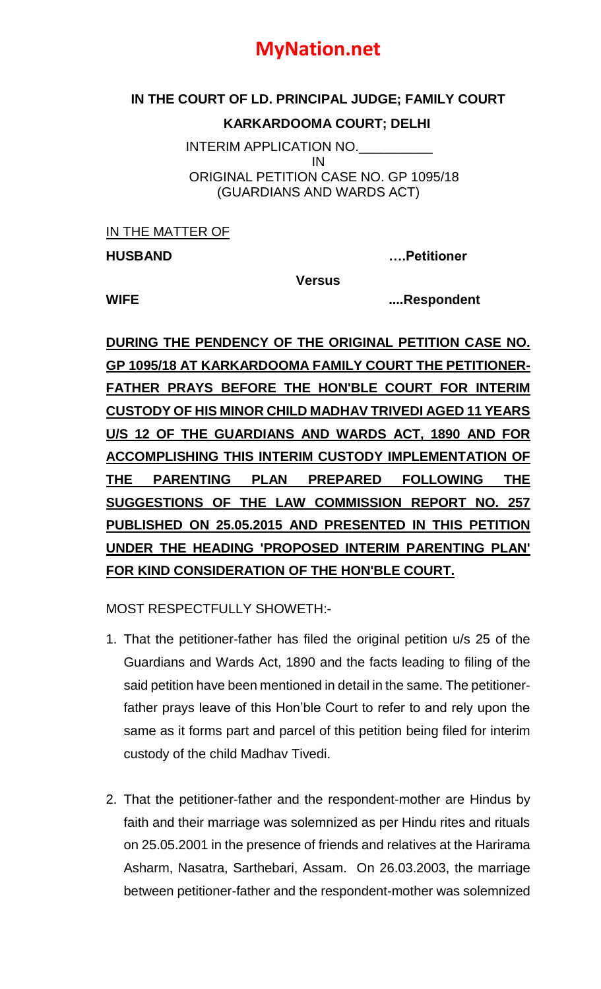## **IN THE COURT OF LD. PRINCIPAL JUDGE; FAMILY COURT KARKARDOOMA COURT; DELHI**

INTERIM APPLICATION NO. IN ORIGINAL PETITION CASE NO. GP 1095/18 (GUARDIANS AND WARDS ACT)

IN THE MATTER OF

**HUSBAND ….Petitioner** 

**Versus**

**WIFE ....Respondent**

**DURING THE PENDENCY OF THE ORIGINAL PETITION CASE NO. GP 1095/18 AT KARKARDOOMA FAMILY COURT THE PETITIONER-FATHER PRAYS BEFORE THE HON'BLE COURT FOR INTERIM CUSTODY OF HIS MINOR CHILD MADHAV TRIVEDI AGED 11 YEARS U/S 12 OF THE GUARDIANS AND WARDS ACT, 1890 AND FOR ACCOMPLISHING THIS INTERIM CUSTODY IMPLEMENTATION OF THE PARENTING PLAN PREPARED FOLLOWING THE SUGGESTIONS OF THE LAW COMMISSION REPORT NO. 257 PUBLISHED ON 25.05.2015 AND PRESENTED IN THIS PETITION UNDER THE HEADING 'PROPOSED INTERIM PARENTING PLAN' FOR KIND CONSIDERATION OF THE HON'BLE COURT.** 

MOST RESPECTFULLY SHOWETH:-

- 1. That the petitioner-father has filed the original petition u/s 25 of the Guardians and Wards Act, 1890 and the facts leading to filing of the said petition have been mentioned in detail in the same. The petitionerfather prays leave of this Hon'ble Court to refer to and rely upon the same as it forms part and parcel of this petition being filed for interim custody of the child Madhav Tivedi.
- 2. That the petitioner-father and the respondent-mother are Hindus by faith and their marriage was solemnized as per Hindu rites and rituals on 25.05.2001 in the presence of friends and relatives at the Harirama Asharm, Nasatra, Sarthebari, Assam. On 26.03.2003, the marriage between petitioner-father and the respondent-mother was solemnized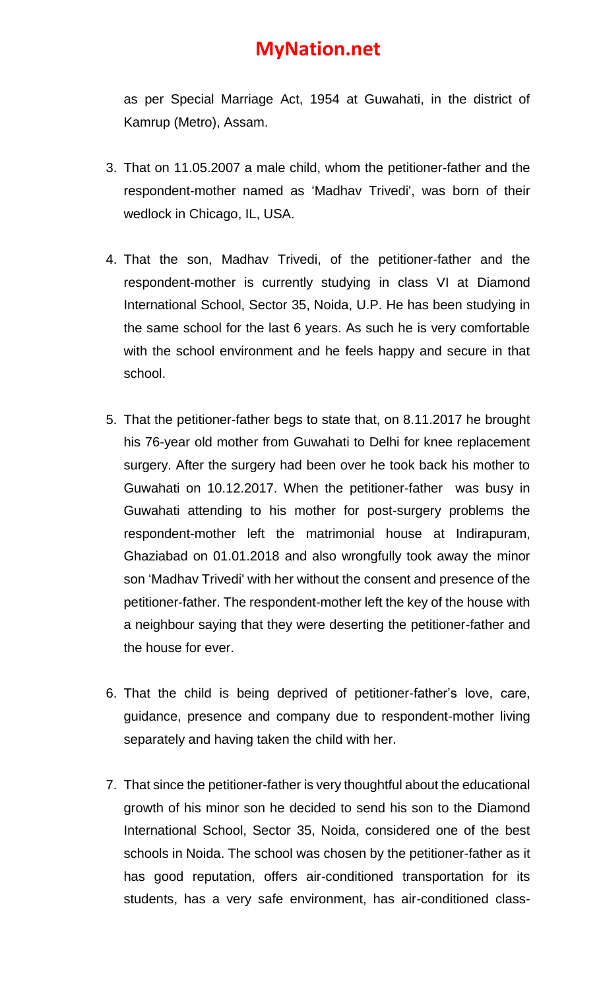as per Special Marriage Act, 1954 at Guwahati, in the district of Kamrup (Metro), Assam.

- 3. That on 11.05.2007 a male child, whom the petitioner-father and the respondent-mother named as 'Madhav Trivedi', was born of their wedlock in Chicago, IL, USA.
- 4. That the son, Madhav Trivedi, of the petitioner-father and the respondent-mother is currently studying in class VI at Diamond International School, Sector 35, Noida, U.P. He has been studying in the same school for the last 6 years. As such he is very comfortable with the school environment and he feels happy and secure in that school.
- 5. That the petitioner-father begs to state that, on 8.11.2017 he brought his 76-year old mother from Guwahati to Delhi for knee replacement surgery. After the surgery had been over he took back his mother to Guwahati on 10.12.2017. When the petitioner-father was busy in Guwahati attending to his mother for post-surgery problems the respondent-mother left the matrimonial house at Indirapuram, Ghaziabad on 01.01.2018 and also wrongfully took away the minor son 'Madhav Trivedi' with her without the consent and presence of the petitioner-father. The respondent-mother left the key of the house with a neighbour saying that they were deserting the petitioner-father and the house for ever.
- 6. That the child is being deprived of petitioner-father's love, care, guidance, presence and company due to respondent-mother living separately and having taken the child with her.
- 7. That since the petitioner-father is very thoughtful about the educational growth of his minor son he decided to send his son to the Diamond International School, Sector 35, Noida, considered one of the best schools in Noida. The school was chosen by the petitioner-father as it has good reputation, offers air-conditioned transportation for its students, has a very safe environment, has air-conditioned class-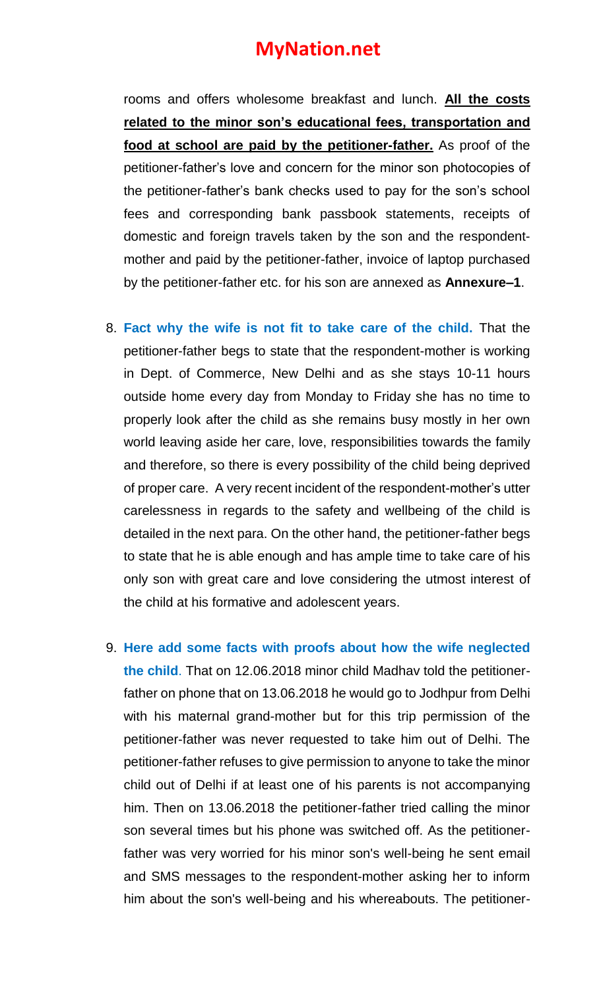rooms and offers wholesome breakfast and lunch. **All the costs related to the minor son's educational fees, transportation and food at school are paid by the petitioner-father.** As proof of the petitioner-father's love and concern for the minor son photocopies of the petitioner-father's bank checks used to pay for the son's school fees and corresponding bank passbook statements, receipts of domestic and foreign travels taken by the son and the respondentmother and paid by the petitioner-father, invoice of laptop purchased by the petitioner-father etc. for his son are annexed as **Annexure–1**.

- 8. **Fact why the wife is not fit to take care of the child.** That the petitioner-father begs to state that the respondent-mother is working in Dept. of Commerce, New Delhi and as she stays 10-11 hours outside home every day from Monday to Friday she has no time to properly look after the child as she remains busy mostly in her own world leaving aside her care, love, responsibilities towards the family and therefore, so there is every possibility of the child being deprived of proper care. A very recent incident of the respondent-mother's utter carelessness in regards to the safety and wellbeing of the child is detailed in the next para. On the other hand, the petitioner-father begs to state that he is able enough and has ample time to take care of his only son with great care and love considering the utmost interest of the child at his formative and adolescent years.
- 9. **Here add some facts with proofs about how the wife neglected the child**. That on 12.06.2018 minor child Madhav told the petitionerfather on phone that on 13.06.2018 he would go to Jodhpur from Delhi with his maternal grand-mother but for this trip permission of the petitioner-father was never requested to take him out of Delhi. The petitioner-father refuses to give permission to anyone to take the minor child out of Delhi if at least one of his parents is not accompanying him. Then on 13.06.2018 the petitioner-father tried calling the minor son several times but his phone was switched off. As the petitionerfather was very worried for his minor son's well-being he sent email and SMS messages to the respondent-mother asking her to inform him about the son's well-being and his whereabouts. The petitioner-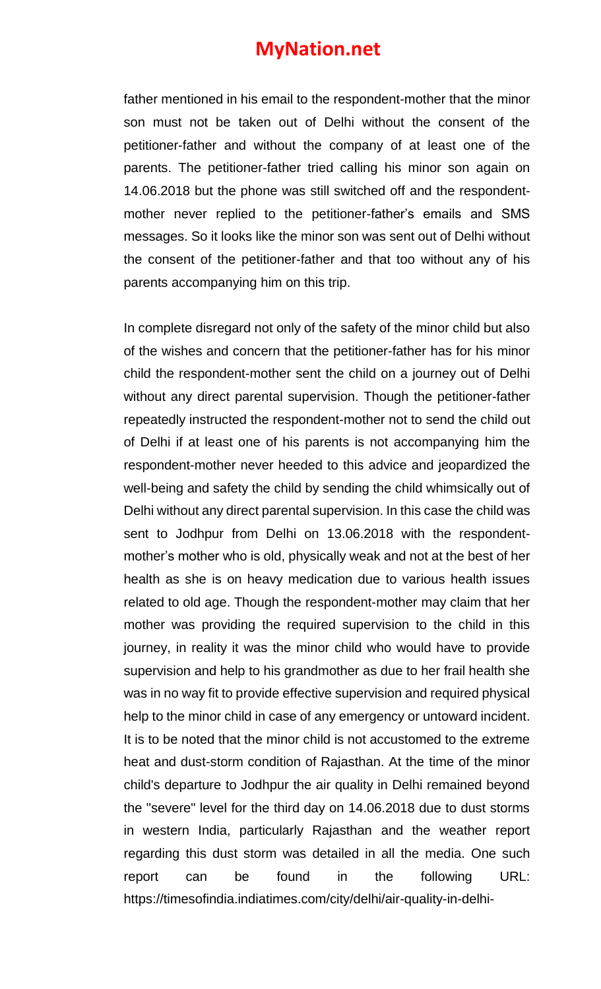father mentioned in his email to the respondent-mother that the minor son must not be taken out of Delhi without the consent of the petitioner-father and without the company of at least one of the parents. The petitioner-father tried calling his minor son again on 14.06.2018 but the phone was still switched off and the respondentmother never replied to the petitioner-father's emails and SMS messages. So it looks like the minor son was sent out of Delhi without the consent of the petitioner-father and that too without any of his parents accompanying him on this trip.

In complete disregard not only of the safety of the minor child but also of the wishes and concern that the petitioner-father has for his minor child the respondent-mother sent the child on a journey out of Delhi without any direct parental supervision. Though the petitioner-father repeatedly instructed the respondent-mother not to send the child out of Delhi if at least one of his parents is not accompanying him the respondent-mother never heeded to this advice and jeopardized the well-being and safety the child by sending the child whimsically out of Delhi without any direct parental supervision. In this case the child was sent to Jodhpur from Delhi on 13.06.2018 with the respondentmother's mother who is old, physically weak and not at the best of her health as she is on heavy medication due to various health issues related to old age. Though the respondent-mother may claim that her mother was providing the required supervision to the child in this journey, in reality it was the minor child who would have to provide supervision and help to his grandmother as due to her frail health she was in no way fit to provide effective supervision and required physical help to the minor child in case of any emergency or untoward incident. It is to be noted that the minor child is not accustomed to the extreme heat and dust-storm condition of Rajasthan. At the time of the minor child's departure to Jodhpur the air quality in Delhi remained beyond the "severe" level for the third day on 14.06.2018 due to dust storms in western India, particularly Rajasthan and the weather report regarding this dust storm was detailed in all the media. One such report can be found in the following URL: https://timesofindia.indiatimes.com/city/delhi/air-quality-in-delhi-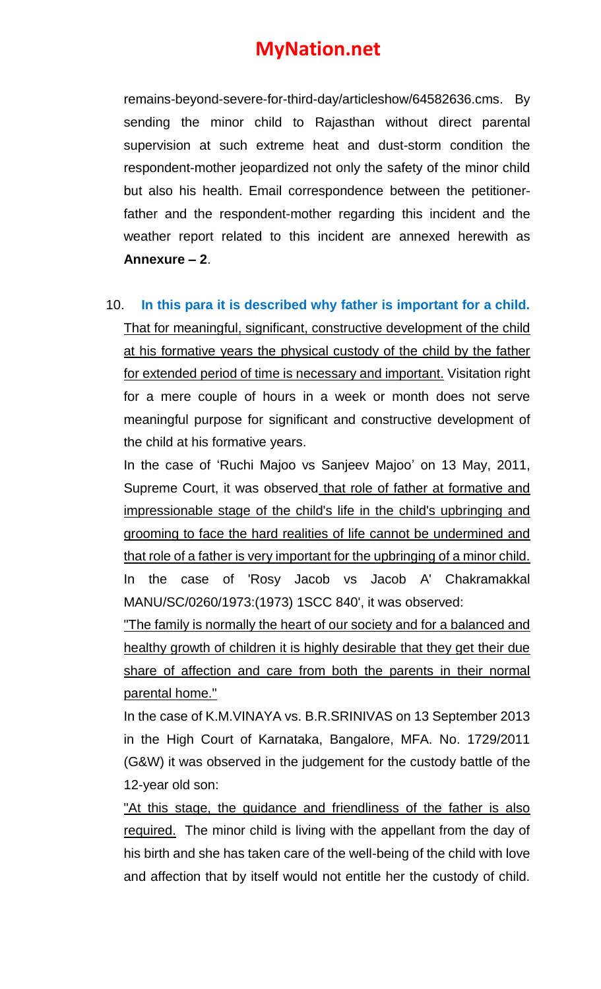remains-beyond-severe-for-third-day/articleshow/64582636.cms. By sending the minor child to Rajasthan without direct parental supervision at such extreme heat and dust-storm condition the respondent-mother jeopardized not only the safety of the minor child but also his health. Email correspondence between the petitionerfather and the respondent-mother regarding this incident and the weather report related to this incident are annexed herewith as **Annexure – 2**.

### 10. **In this para it is described why father is important for a child.**

That for meaningful, significant, constructive development of the child at his formative years the physical custody of the child by the father for extended period of time is necessary and important. Visitation right for a mere couple of hours in a week or month does not serve meaningful purpose for significant and constructive development of the child at his formative years.

In the case of 'Ruchi Majoo vs Sanjeev Majoo' on 13 May, 2011, Supreme Court, it was observed that role of father at formative and impressionable stage of the child's life in the child's upbringing and grooming to face the hard realities of life cannot be undermined and that role of a father is very important for the upbringing of a minor child. In the case of 'Rosy Jacob vs Jacob A' Chakramakkal MANU/SC/0260/1973:(1973) 1SCC 840', it was observed:

"The family is normally the heart of our society and for a balanced and healthy growth of children it is highly desirable that they get their due share of affection and care from both the parents in their normal parental home."

In the case of K.M.VINAYA vs. B.R.SRINIVAS on 13 September 2013 in the High Court of Karnataka, Bangalore, MFA. No. 1729/2011 (G&W) it was observed in the judgement for the custody battle of the 12-year old son:

"At this stage, the guidance and friendliness of the father is also required. The minor child is living with the appellant from the day of his birth and she has taken care of the well-being of the child with love and affection that by itself would not entitle her the custody of child.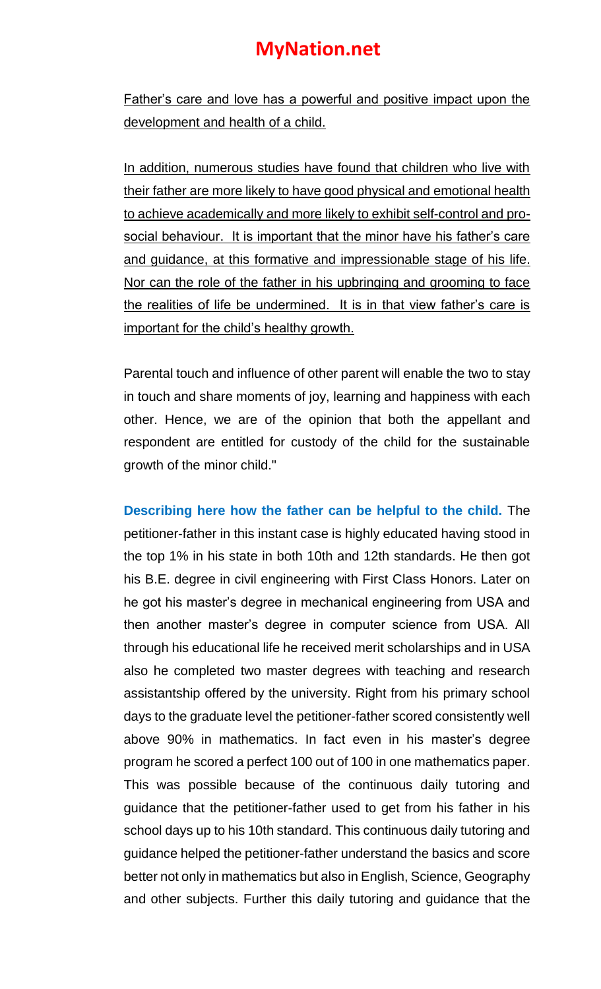Father's care and love has a powerful and positive impact upon the development and health of a child.

In addition, numerous studies have found that children who live with their father are more likely to have good physical and emotional health to achieve academically and more likely to exhibit self-control and prosocial behaviour. It is important that the minor have his father's care and guidance, at this formative and impressionable stage of his life. Nor can the role of the father in his upbringing and grooming to face the realities of life be undermined. It is in that view father's care is important for the child's healthy growth.

Parental touch and influence of other parent will enable the two to stay in touch and share moments of joy, learning and happiness with each other. Hence, we are of the opinion that both the appellant and respondent are entitled for custody of the child for the sustainable growth of the minor child."

**Describing here how the father can be helpful to the child.** The petitioner-father in this instant case is highly educated having stood in the top 1% in his state in both 10th and 12th standards. He then got his B.E. degree in civil engineering with First Class Honors. Later on he got his master's degree in mechanical engineering from USA and then another master's degree in computer science from USA. All through his educational life he received merit scholarships and in USA also he completed two master degrees with teaching and research assistantship offered by the university. Right from his primary school days to the graduate level the petitioner-father scored consistently well above 90% in mathematics. In fact even in his master's degree program he scored a perfect 100 out of 100 in one mathematics paper. This was possible because of the continuous daily tutoring and guidance that the petitioner-father used to get from his father in his school days up to his 10th standard. This continuous daily tutoring and guidance helped the petitioner-father understand the basics and score better not only in mathematics but also in English, Science, Geography and other subjects. Further this daily tutoring and guidance that the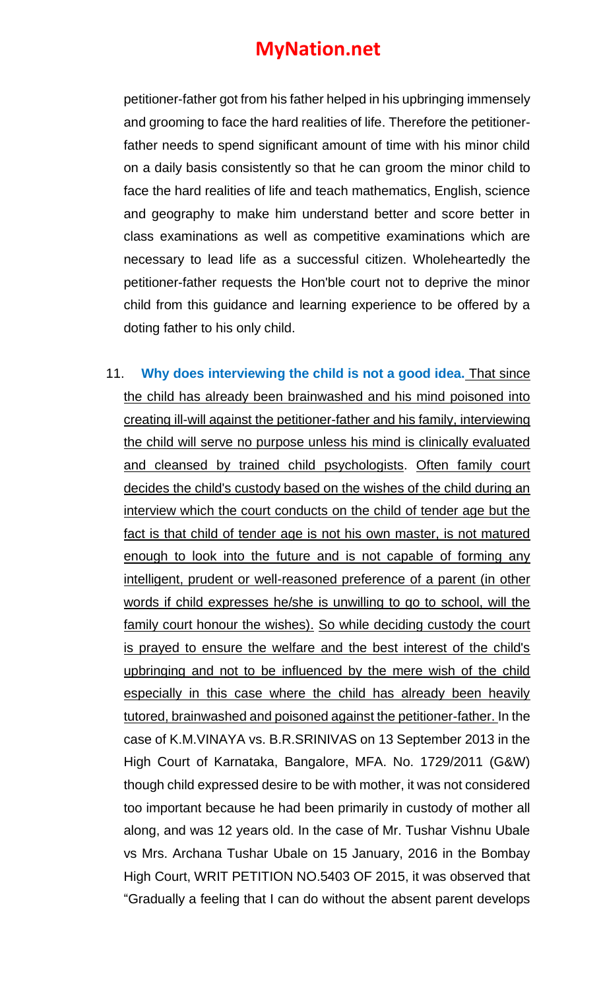petitioner-father got from his father helped in his upbringing immensely and grooming to face the hard realities of life. Therefore the petitionerfather needs to spend significant amount of time with his minor child on a daily basis consistently so that he can groom the minor child to face the hard realities of life and teach mathematics, English, science and geography to make him understand better and score better in class examinations as well as competitive examinations which are necessary to lead life as a successful citizen. Wholeheartedly the petitioner-father requests the Hon'ble court not to deprive the minor child from this guidance and learning experience to be offered by a doting father to his only child.

11. **Why does interviewing the child is not a good idea.** That since the child has already been brainwashed and his mind poisoned into creating ill-will against the petitioner-father and his family, interviewing the child will serve no purpose unless his mind is clinically evaluated and cleansed by trained child psychologists. Often family court decides the child's custody based on the wishes of the child during an interview which the court conducts on the child of tender age but the fact is that child of tender age is not his own master, is not matured enough to look into the future and is not capable of forming any intelligent, prudent or well-reasoned preference of a parent (in other words if child expresses he/she is unwilling to go to school, will the family court honour the wishes). So while deciding custody the court is prayed to ensure the welfare and the best interest of the child's upbringing and not to be influenced by the mere wish of the child especially in this case where the child has already been heavily tutored, brainwashed and poisoned against the petitioner-father. In the case of K.M.VINAYA vs. B.R.SRINIVAS on 13 September 2013 in the High Court of Karnataka, Bangalore, MFA. No. 1729/2011 (G&W) though child expressed desire to be with mother, it was not considered too important because he had been primarily in custody of mother all along, and was 12 years old. In the case of Mr. Tushar Vishnu Ubale vs Mrs. Archana Tushar Ubale on 15 January, 2016 in the Bombay High Court, WRIT PETITION NO.5403 OF 2015, it was observed that "Gradually a feeling that I can do without the absent parent develops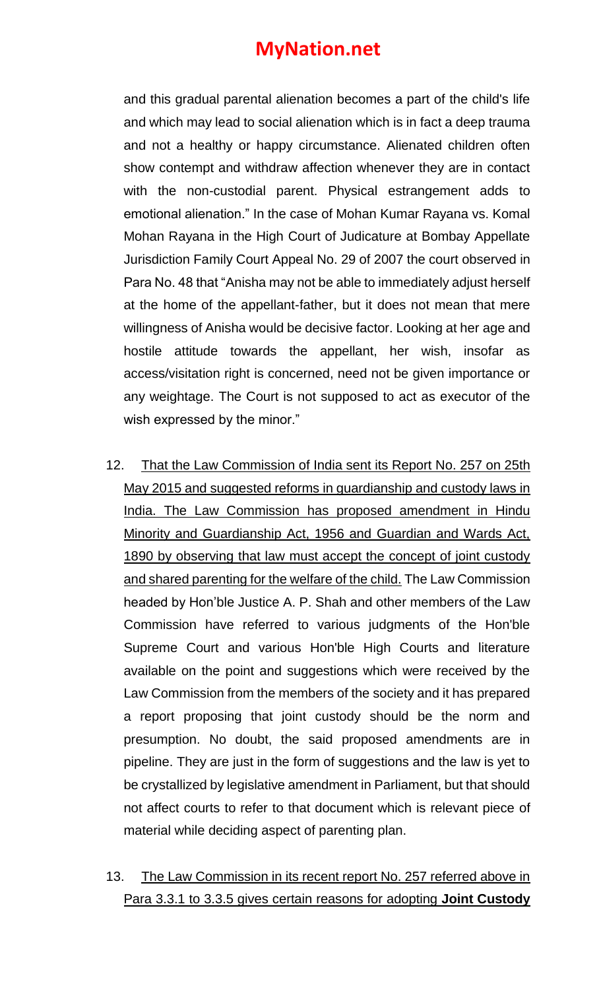and this gradual parental alienation becomes a part of the child's life and which may lead to social alienation which is in fact a deep trauma and not a healthy or happy circumstance. Alienated children often show contempt and withdraw affection whenever they are in contact with the non-custodial parent. Physical estrangement adds to emotional alienation." In the case of Mohan Kumar Rayana vs. Komal Mohan Rayana in the High Court of Judicature at Bombay Appellate Jurisdiction Family Court Appeal No. 29 of 2007 the court observed in Para No. 48 that "Anisha may not be able to immediately adjust herself at the home of the appellant-father, but it does not mean that mere willingness of Anisha would be decisive factor. Looking at her age and hostile attitude towards the appellant, her wish, insofar as access/visitation right is concerned, need not be given importance or any weightage. The Court is not supposed to act as executor of the wish expressed by the minor."

- 12. That the Law Commission of India sent its Report No. 257 on 25th May 2015 and suggested reforms in guardianship and custody laws in India. The Law Commission has proposed amendment in Hindu Minority and Guardianship Act, 1956 and Guardian and Wards Act, 1890 by observing that law must accept the concept of joint custody and shared parenting for the welfare of the child. The Law Commission headed by Hon'ble Justice A. P. Shah and other members of the Law Commission have referred to various judgments of the Hon'ble Supreme Court and various Hon'ble High Courts and literature available on the point and suggestions which were received by the Law Commission from the members of the society and it has prepared a report proposing that joint custody should be the norm and presumption. No doubt, the said proposed amendments are in pipeline. They are just in the form of suggestions and the law is yet to be crystallized by legislative amendment in Parliament, but that should not affect courts to refer to that document which is relevant piece of material while deciding aspect of parenting plan.
- 13. The Law Commission in its recent report No. 257 referred above in Para 3.3.1 to 3.3.5 gives certain reasons for adopting **Joint Custody**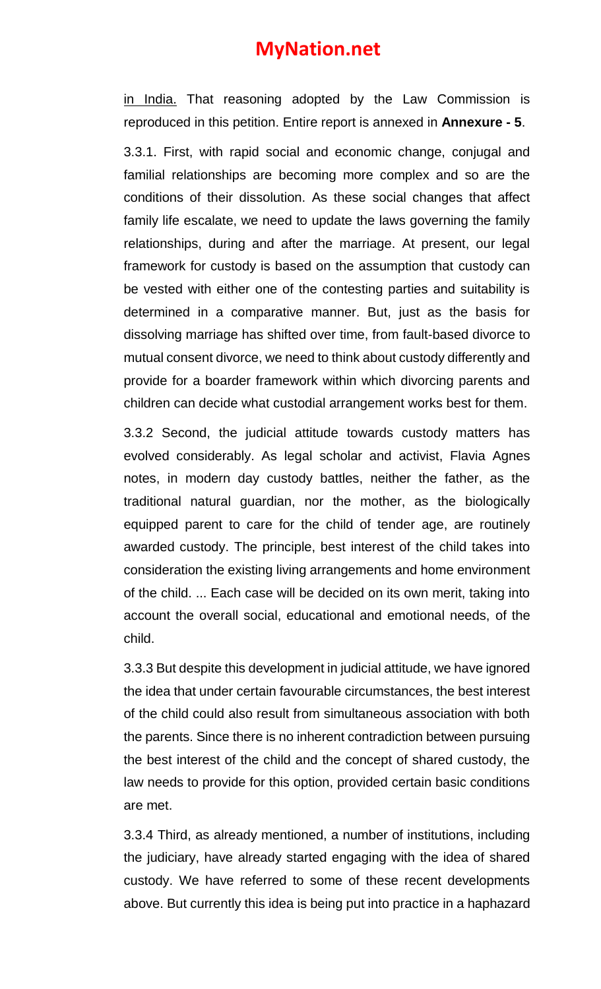in India. That reasoning adopted by the Law Commission is reproduced in this petition. Entire report is annexed in **Annexure - 5**.

3.3.1. First, with rapid social and economic change, conjugal and familial relationships are becoming more complex and so are the conditions of their dissolution. As these social changes that affect family life escalate, we need to update the laws governing the family relationships, during and after the marriage. At present, our legal framework for custody is based on the assumption that custody can be vested with either one of the contesting parties and suitability is determined in a comparative manner. But, just as the basis for dissolving marriage has shifted over time, from fault-based divorce to mutual consent divorce, we need to think about custody differently and provide for a boarder framework within which divorcing parents and children can decide what custodial arrangement works best for them.

3.3.2 Second, the judicial attitude towards custody matters has evolved considerably. As legal scholar and activist, Flavia Agnes notes, in modern day custody battles, neither the father, as the traditional natural guardian, nor the mother, as the biologically equipped parent to care for the child of tender age, are routinely awarded custody. The principle, best interest of the child takes into consideration the existing living arrangements and home environment of the child. ... Each case will be decided on its own merit, taking into account the overall social, educational and emotional needs, of the child.

3.3.3 But despite this development in judicial attitude, we have ignored the idea that under certain favourable circumstances, the best interest of the child could also result from simultaneous association with both the parents. Since there is no inherent contradiction between pursuing the best interest of the child and the concept of shared custody, the law needs to provide for this option, provided certain basic conditions are met.

3.3.4 Third, as already mentioned, a number of institutions, including the judiciary, have already started engaging with the idea of shared custody. We have referred to some of these recent developments above. But currently this idea is being put into practice in a haphazard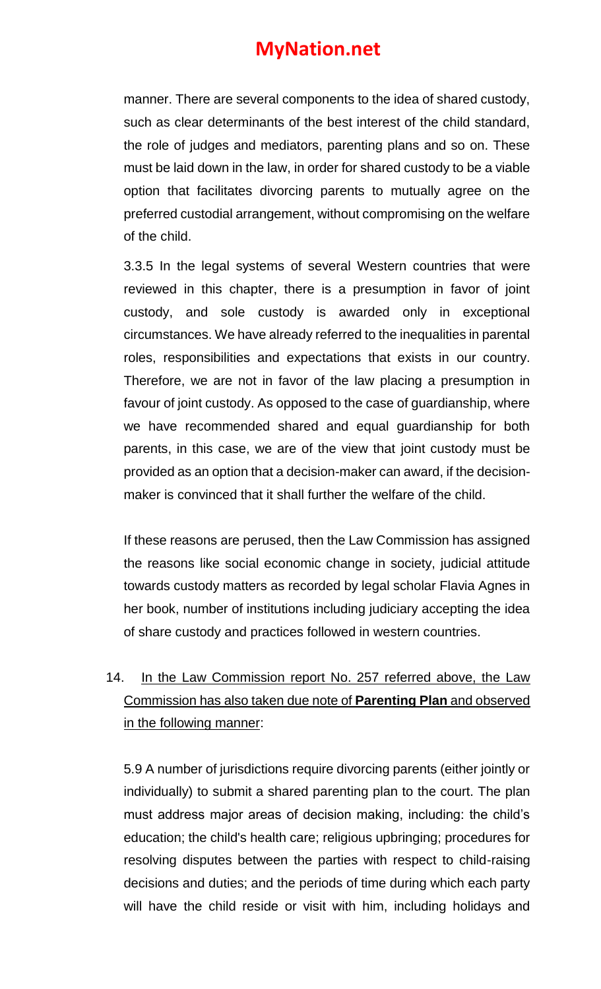manner. There are several components to the idea of shared custody, such as clear determinants of the best interest of the child standard, the role of judges and mediators, parenting plans and so on. These must be laid down in the law, in order for shared custody to be a viable option that facilitates divorcing parents to mutually agree on the preferred custodial arrangement, without compromising on the welfare of the child.

3.3.5 In the legal systems of several Western countries that were reviewed in this chapter, there is a presumption in favor of joint custody, and sole custody is awarded only in exceptional circumstances. We have already referred to the inequalities in parental roles, responsibilities and expectations that exists in our country. Therefore, we are not in favor of the law placing a presumption in favour of joint custody. As opposed to the case of guardianship, where we have recommended shared and equal guardianship for both parents, in this case, we are of the view that joint custody must be provided as an option that a decision-maker can award, if the decisionmaker is convinced that it shall further the welfare of the child.

If these reasons are perused, then the Law Commission has assigned the reasons like social economic change in society, judicial attitude towards custody matters as recorded by legal scholar Flavia Agnes in her book, number of institutions including judiciary accepting the idea of share custody and practices followed in western countries.

## 14. In the Law Commission report No. 257 referred above, the Law Commission has also taken due note of **Parenting Plan** and observed in the following manner:

5.9 A number of jurisdictions require divorcing parents (either jointly or individually) to submit a shared parenting plan to the court. The plan must address major areas of decision making, including: the child's education; the child's health care; religious upbringing; procedures for resolving disputes between the parties with respect to child-raising decisions and duties; and the periods of time during which each party will have the child reside or visit with him, including holidays and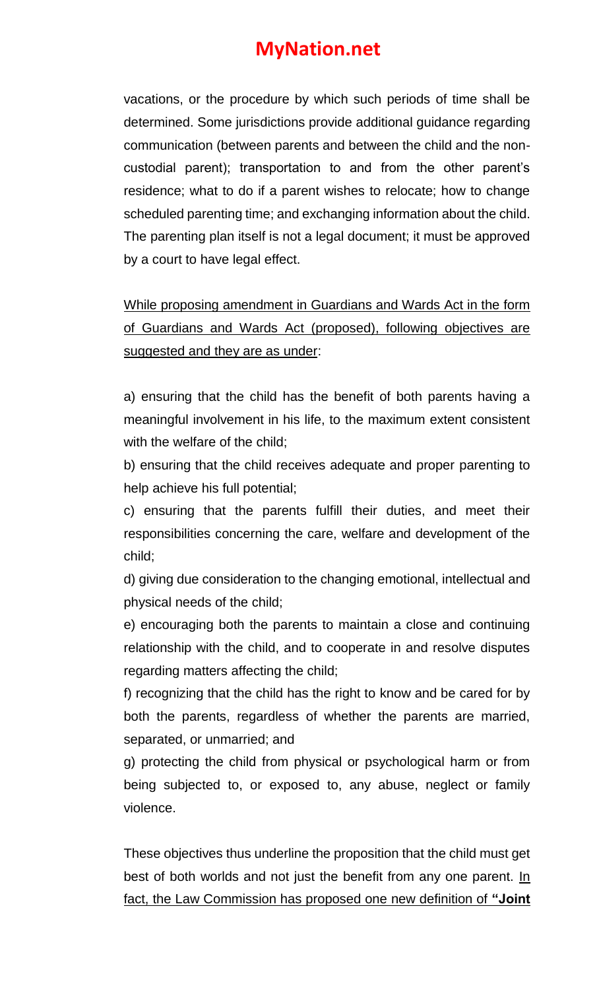vacations, or the procedure by which such periods of time shall be determined. Some jurisdictions provide additional guidance regarding communication (between parents and between the child and the noncustodial parent); transportation to and from the other parent's residence; what to do if a parent wishes to relocate; how to change scheduled parenting time; and exchanging information about the child. The parenting plan itself is not a legal document; it must be approved by a court to have legal effect.

While proposing amendment in Guardians and Wards Act in the form of Guardians and Wards Act (proposed), following objectives are suggested and they are as under:

a) ensuring that the child has the benefit of both parents having a meaningful involvement in his life, to the maximum extent consistent with the welfare of the child;

b) ensuring that the child receives adequate and proper parenting to help achieve his full potential;

c) ensuring that the parents fulfill their duties, and meet their responsibilities concerning the care, welfare and development of the child;

d) giving due consideration to the changing emotional, intellectual and physical needs of the child;

e) encouraging both the parents to maintain a close and continuing relationship with the child, and to cooperate in and resolve disputes regarding matters affecting the child;

f) recognizing that the child has the right to know and be cared for by both the parents, regardless of whether the parents are married, separated, or unmarried; and

g) protecting the child from physical or psychological harm or from being subjected to, or exposed to, any abuse, neglect or family violence.

These objectives thus underline the proposition that the child must get best of both worlds and not just the benefit from any one parent. In fact, the Law Commission has proposed one new definition of **"Joint**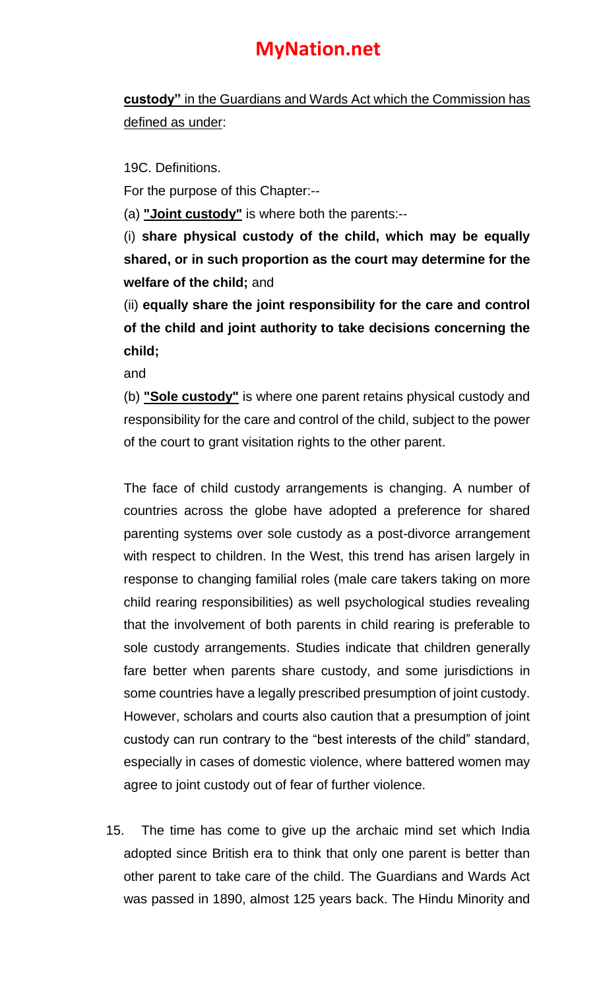**custody"** in the Guardians and Wards Act which the Commission has defined as under:

19C. Definitions.

For the purpose of this Chapter:--

(a) **"Joint custody"** is where both the parents:--

(i) **share physical custody of the child, which may be equally shared, or in such proportion as the court may determine for the welfare of the child;** and

(ii) **equally share the joint responsibility for the care and control of the child and joint authority to take decisions concerning the child;**

and

(b) **"Sole custody"** is where one parent retains physical custody and responsibility for the care and control of the child, subject to the power of the court to grant visitation rights to the other parent.

The face of child custody arrangements is changing. A number of countries across the globe have adopted a preference for shared parenting systems over sole custody as a post-divorce arrangement with respect to children. In the West, this trend has arisen largely in response to changing familial roles (male care takers taking on more child rearing responsibilities) as well psychological studies revealing that the involvement of both parents in child rearing is preferable to sole custody arrangements. Studies indicate that children generally fare better when parents share custody, and some jurisdictions in some countries have a legally prescribed presumption of joint custody. However, scholars and courts also caution that a presumption of joint custody can run contrary to the "best interests of the child" standard, especially in cases of domestic violence, where battered women may agree to joint custody out of fear of further violence.

15. The time has come to give up the archaic mind set which India adopted since British era to think that only one parent is better than other parent to take care of the child. The Guardians and Wards Act was passed in 1890, almost 125 years back. The Hindu Minority and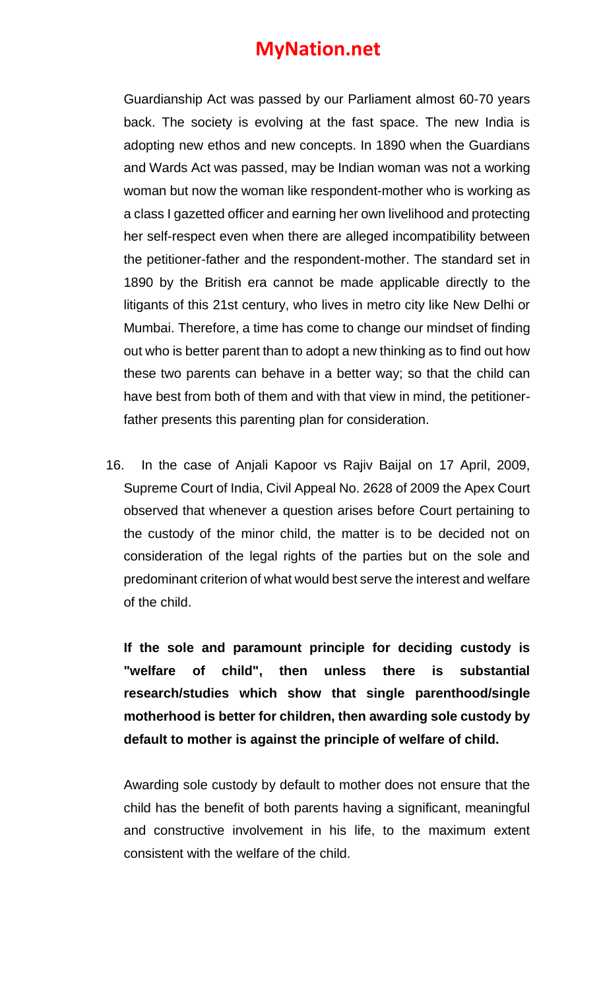Guardianship Act was passed by our Parliament almost 60-70 years back. The society is evolving at the fast space. The new India is adopting new ethos and new concepts. In 1890 when the Guardians and Wards Act was passed, may be Indian woman was not a working woman but now the woman like respondent-mother who is working as a class I gazetted officer and earning her own livelihood and protecting her self-respect even when there are alleged incompatibility between the petitioner-father and the respondent-mother. The standard set in 1890 by the British era cannot be made applicable directly to the litigants of this 21st century, who lives in metro city like New Delhi or Mumbai. Therefore, a time has come to change our mindset of finding out who is better parent than to adopt a new thinking as to find out how these two parents can behave in a better way; so that the child can have best from both of them and with that view in mind, the petitionerfather presents this parenting plan for consideration.

16. In the case of Anjali Kapoor vs Rajiv Baijal on 17 April, 2009, Supreme Court of India, Civil Appeal No. 2628 of 2009 the Apex Court observed that whenever a question arises before Court pertaining to the custody of the minor child, the matter is to be decided not on consideration of the legal rights of the parties but on the sole and predominant criterion of what would best serve the interest and welfare of the child.

**If the sole and paramount principle for deciding custody is "welfare of child", then unless there is substantial research/studies which show that single parenthood/single motherhood is better for children, then awarding sole custody by default to mother is against the principle of welfare of child.**

Awarding sole custody by default to mother does not ensure that the child has the benefit of both parents having a significant, meaningful and constructive involvement in his life, to the maximum extent consistent with the welfare of the child.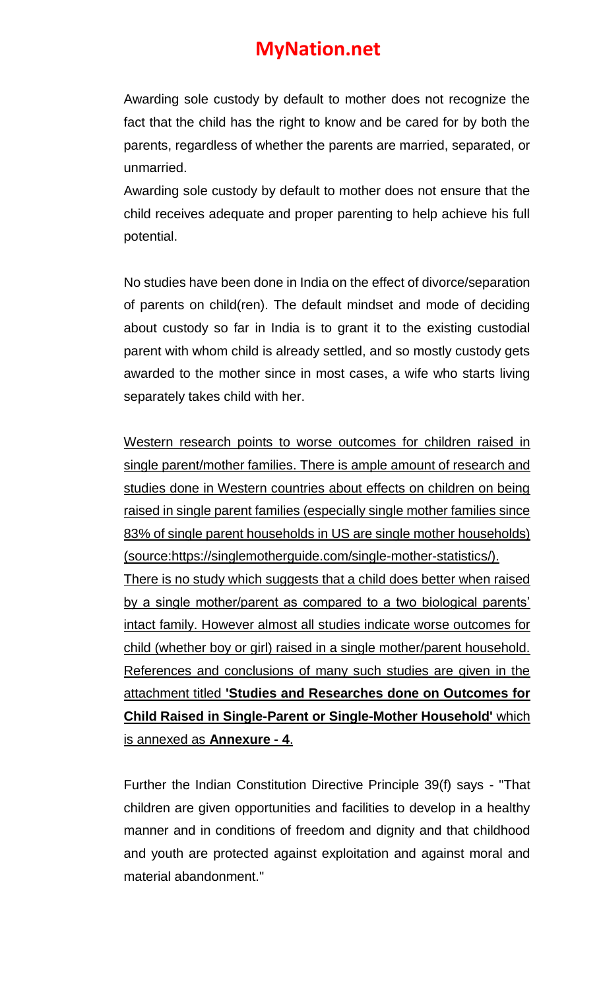Awarding sole custody by default to mother does not recognize the fact that the child has the right to know and be cared for by both the parents, regardless of whether the parents are married, separated, or unmarried.

Awarding sole custody by default to mother does not ensure that the child receives adequate and proper parenting to help achieve his full potential.

No studies have been done in India on the effect of divorce/separation of parents on child(ren). The default mindset and mode of deciding about custody so far in India is to grant it to the existing custodial parent with whom child is already settled, and so mostly custody gets awarded to the mother since in most cases, a wife who starts living separately takes child with her.

Western research points to worse outcomes for children raised in single parent/mother families. There is ample amount of research and studies done in Western countries about effects on children on being raised in single parent families (especially single mother families since 83% of single parent households in US are single mother households) (source:https://singlemotherguide.com/single-mother-statistics/). There is no study which suggests that a child does better when raised

by a single mother/parent as compared to a two biological parents' intact family. However almost all studies indicate worse outcomes for child (whether boy or girl) raised in a single mother/parent household. References and conclusions of many such studies are given in the attachment titled **'Studies and Researches done on Outcomes for Child Raised in Single-Parent or Single-Mother Household'** which is annexed as **Annexure - 4**.

Further the Indian Constitution Directive Principle 39(f) says - "That children are given opportunities and facilities to develop in a healthy manner and in conditions of freedom and dignity and that childhood and youth are protected against exploitation and against moral and material abandonment."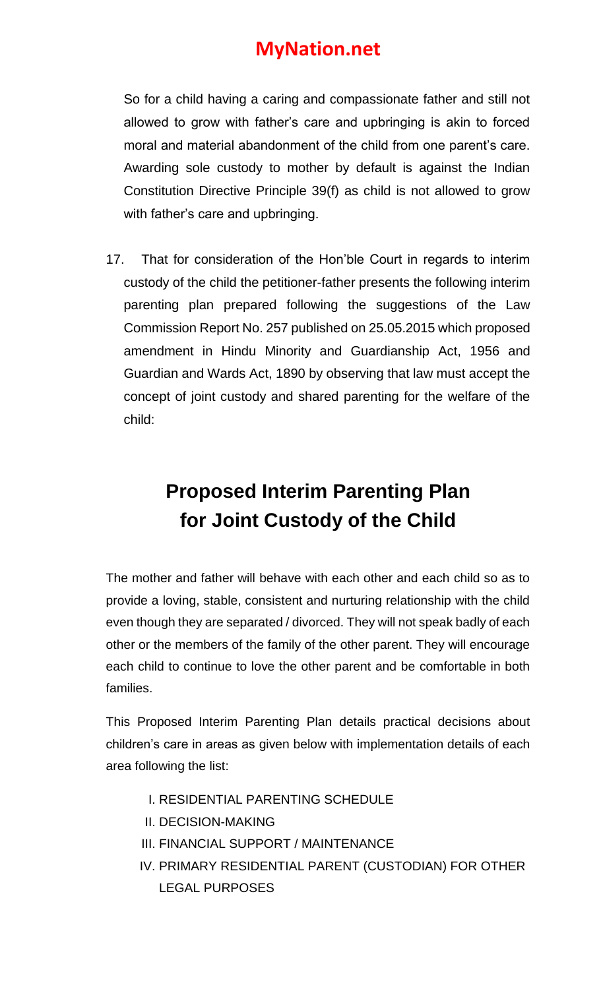So for a child having a caring and compassionate father and still not allowed to grow with father's care and upbringing is akin to forced moral and material abandonment of the child from one parent's care. Awarding sole custody to mother by default is against the Indian Constitution Directive Principle 39(f) as child is not allowed to grow with father's care and upbringing.

17. That for consideration of the Hon'ble Court in regards to interim custody of the child the petitioner-father presents the following interim parenting plan prepared following the suggestions of the Law Commission Report No. 257 published on 25.05.2015 which proposed amendment in Hindu Minority and Guardianship Act, 1956 and Guardian and Wards Act, 1890 by observing that law must accept the concept of joint custody and shared parenting for the welfare of the child:

# **Proposed Interim Parenting Plan for Joint Custody of the Child**

The mother and father will behave with each other and each child so as to provide a loving, stable, consistent and nurturing relationship with the child even though they are separated / divorced. They will not speak badly of each other or the members of the family of the other parent. They will encourage each child to continue to love the other parent and be comfortable in both families.

This Proposed Interim Parenting Plan details practical decisions about children's care in areas as given below with implementation details of each area following the list:

- I. RESIDENTIAL PARENTING SCHEDULE
- II. DECISION-MAKING
- III. FINANCIAL SUPPORT / MAINTENANCE
- IV. PRIMARY RESIDENTIAL PARENT (CUSTODIAN) FOR OTHER LEGAL PURPOSES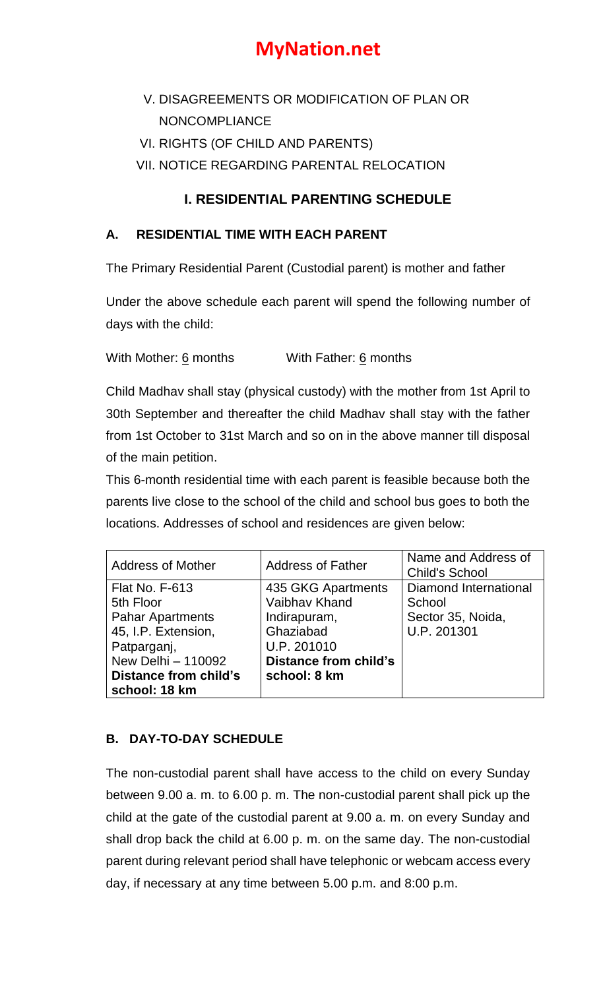- V. DISAGREEMENTS OR MODIFICATION OF PLAN OR NONCOMPLIANCE
- VI. RIGHTS (OF CHILD AND PARENTS)
- VII. NOTICE REGARDING PARENTAL RELOCATION

## **I. RESIDENTIAL PARENTING SCHEDULE**

### **A. RESIDENTIAL TIME WITH EACH PARENT**

The Primary Residential Parent (Custodial parent) is mother and father

Under the above schedule each parent will spend the following number of days with the child:

With Mother:  $\underline{6}$  months With Father:  $\underline{6}$  months

Child Madhav shall stay (physical custody) with the mother from 1st April to 30th September and thereafter the child Madhav shall stay with the father from 1st October to 31st March and so on in the above manner till disposal of the main petition.

This 6-month residential time with each parent is feasible because both the parents live close to the school of the child and school bus goes to both the locations. Addresses of school and residences are given below:

| <b>Address of Mother</b>     | <b>Address of Father</b>     | Name and Address of<br><b>Child's School</b> |
|------------------------------|------------------------------|----------------------------------------------|
| <b>Flat No. F-613</b>        | 435 GKG Apartments           | Diamond International                        |
| 5th Floor                    | Vaibhav Khand                | School                                       |
| <b>Pahar Apartments</b>      | Indirapuram,                 | Sector 35, Noida,                            |
| 45, I.P. Extension,          | Ghaziabad                    | U.P. 201301                                  |
| Patparganj,                  | U.P. 201010                  |                                              |
| New Delhi - 110092           | <b>Distance from child's</b> |                                              |
| <b>Distance from child's</b> | school: 8 km                 |                                              |
| school: 18 km                |                              |                                              |

### **B. DAY-TO-DAY SCHEDULE**

The non-custodial parent shall have access to the child on every Sunday between 9.00 a. m. to 6.00 p. m. The non-custodial parent shall pick up the child at the gate of the custodial parent at 9.00 a. m. on every Sunday and shall drop back the child at 6.00 p. m. on the same day. The non-custodial parent during relevant period shall have telephonic or webcam access every day, if necessary at any time between 5.00 p.m. and 8:00 p.m.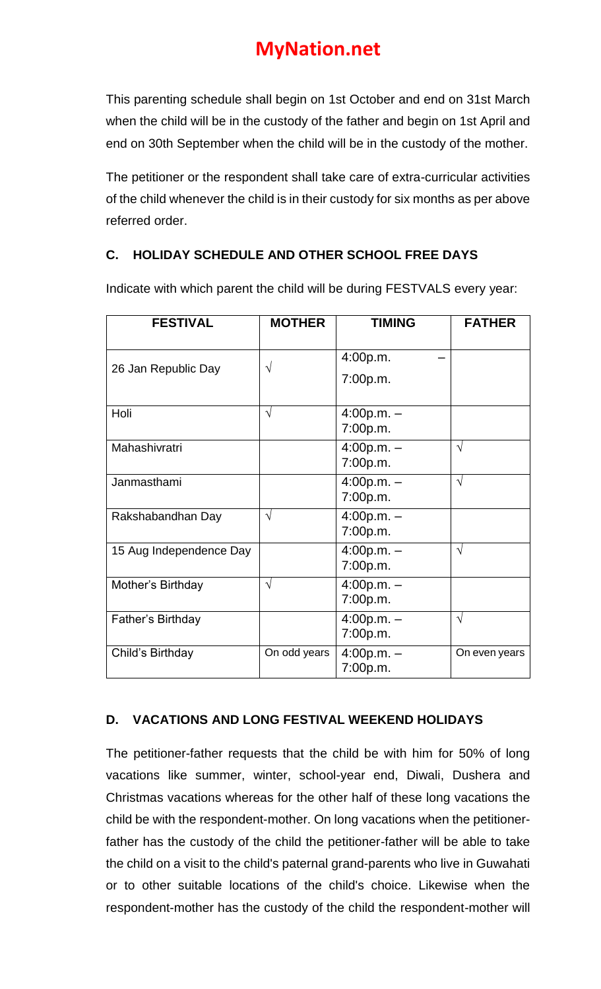This parenting schedule shall begin on 1st October and end on 31st March when the child will be in the custody of the father and begin on 1st April and end on 30th September when the child will be in the custody of the mother.

The petitioner or the respondent shall take care of extra-curricular activities of the child whenever the child is in their custody for six months as per above referred order.

### **C. HOLIDAY SCHEDULE AND OTHER SCHOOL FREE DAYS**

| <b>FESTIVAL</b>         | <b>MOTHER</b> | <b>TIMING</b>            | <b>FATHER</b> |
|-------------------------|---------------|--------------------------|---------------|
| 26 Jan Republic Day     | $\mathcal{N}$ | 4:00p.m.<br>7:00p.m.     |               |
| Holi                    | $\mathcal{N}$ | $4:00p.m. -$<br>7:00p.m. |               |
| Mahashivratri           |               | $4:00p.m. -$<br>7:00p.m. | $\sqrt{}$     |
| Janmasthami             |               | $4:00p.m. -$<br>7:00p.m. | $\sqrt{ }$    |
| Rakshabandhan Day       | $\sqrt{ }$    | $4:00p.m. -$<br>7:00p.m. |               |
| 15 Aug Independence Day |               | $4:00p.m. -$<br>7:00p.m. | $\sqrt{}$     |
| Mother's Birthday       | N             | $4:00p.m. -$<br>7:00p.m. |               |
| Father's Birthday       |               | $4:00p.m. -$<br>7:00p.m. | $\sqrt{ }$    |
| Child's Birthday        | On odd years  | $4:00p.m. -$<br>7:00p.m. | On even years |

Indicate with which parent the child will be during FESTVALS every year:

### **D. VACATIONS AND LONG FESTIVAL WEEKEND HOLIDAYS**

The petitioner-father requests that the child be with him for 50% of long vacations like summer, winter, school-year end, Diwali, Dushera and Christmas vacations whereas for the other half of these long vacations the child be with the respondent-mother. On long vacations when the petitionerfather has the custody of the child the petitioner-father will be able to take the child on a visit to the child's paternal grand-parents who live in Guwahati or to other suitable locations of the child's choice. Likewise when the respondent-mother has the custody of the child the respondent-mother will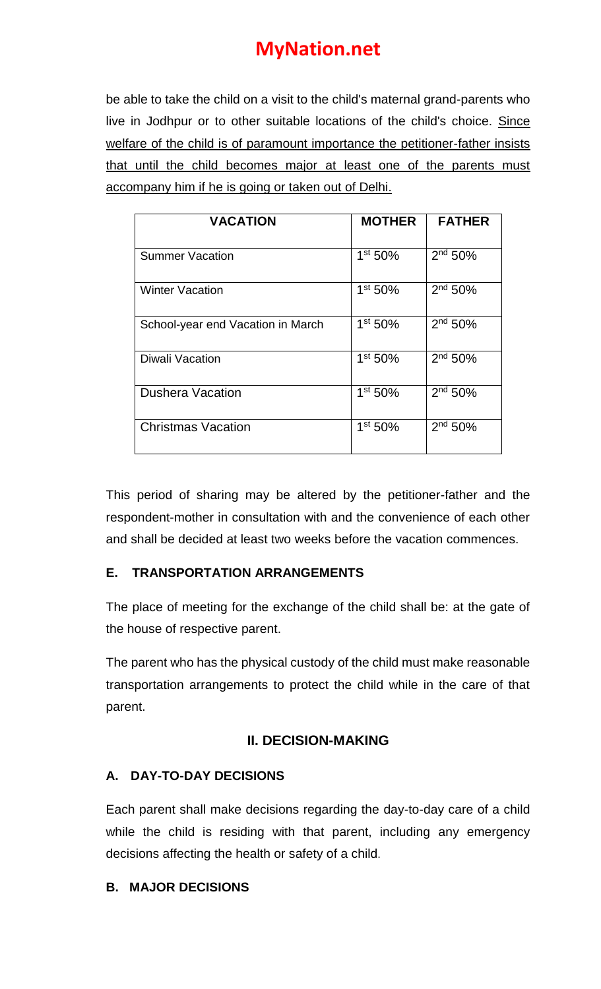be able to take the child on a visit to the child's maternal grand-parents who live in Jodhpur or to other suitable locations of the child's choice. Since welfare of the child is of paramount importance the petitioner-father insists that until the child becomes major at least one of the parents must accompany him if he is going or taken out of Delhi.

| <b>VACATION</b>                   | <b>MOTHER</b>       | <b>FATHER</b>       |  |
|-----------------------------------|---------------------|---------------------|--|
| <b>Summer Vacation</b>            | $1^{st} 50%$        | 2 <sup>nd</sup> 50% |  |
| <b>Winter Vacation</b>            | 1 <sup>st</sup> 50% | 2 <sup>nd</sup> 50% |  |
| School-year end Vacation in March | 1 <sup>st</sup> 50% | 2 <sup>nd</sup> 50% |  |
| Diwali Vacation                   | 1 <sup>st</sup> 50% | 2 <sup>nd</sup> 50% |  |
| <b>Dushera Vacation</b>           | $1^{st} 50%$        | 2 <sup>nd</sup> 50% |  |
| <b>Christmas Vacation</b>         | 1 <sup>st</sup> 50% | 2 <sup>nd</sup> 50% |  |

This period of sharing may be altered by the petitioner-father and the respondent-mother in consultation with and the convenience of each other and shall be decided at least two weeks before the vacation commences.

### **E. TRANSPORTATION ARRANGEMENTS**

The place of meeting for the exchange of the child shall be: at the gate of the house of respective parent.

The parent who has the physical custody of the child must make reasonable transportation arrangements to protect the child while in the care of that parent.

## **II. DECISION-MAKING**

## **A. DAY-TO-DAY DECISIONS**

Each parent shall make decisions regarding the day-to-day care of a child while the child is residing with that parent, including any emergency decisions affecting the health or safety of a child.

### **B. MAJOR DECISIONS**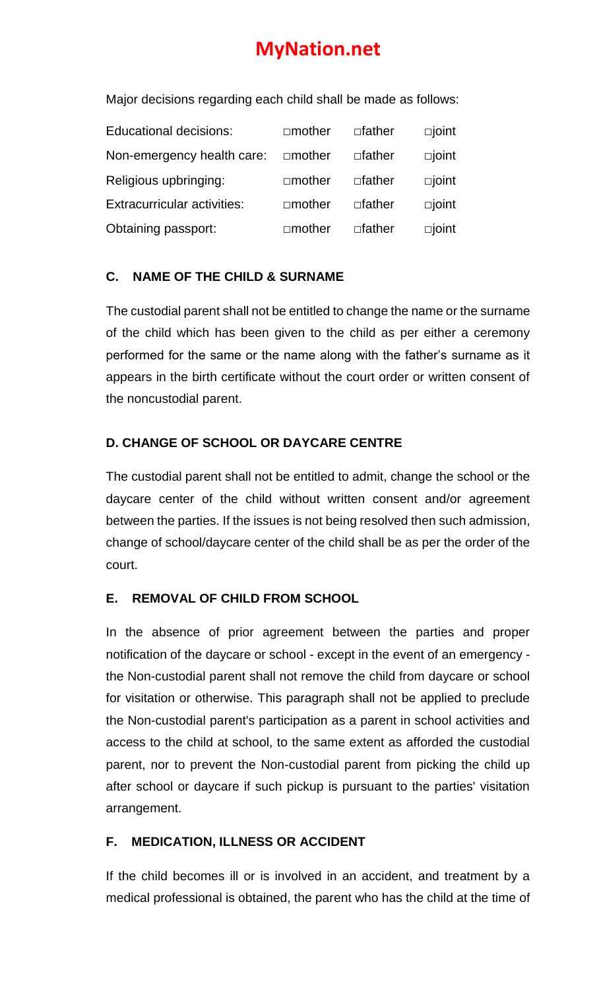Major decisions regarding each child shall be made as follows:

| <b>Educational decisions:</b>      | $\Box$ mother | $\Box$ father | $\square$ joint |
|------------------------------------|---------------|---------------|-----------------|
| Non-emergency health care:         | $\Box$ mother | □father       | $\square$ joint |
| Religious upbringing:              | $\Box$ mother | $\Box$ father | $\square$ joint |
| <b>Extracurricular activities:</b> | $\Box$ mother | ⊟father       | $\square$ joint |
| Obtaining passport:                | $\Box$ mother | □father       | $\square$ joint |

### **C. NAME OF THE CHILD & SURNAME**

The custodial parent shall not be entitled to change the name or the surname of the child which has been given to the child as per either a ceremony performed for the same or the name along with the father's surname as it appears in the birth certificate without the court order or written consent of the noncustodial parent.

### **D. CHANGE OF SCHOOL OR DAYCARE CENTRE**

The custodial parent shall not be entitled to admit, change the school or the daycare center of the child without written consent and/or agreement between the parties. If the issues is not being resolved then such admission, change of school/daycare center of the child shall be as per the order of the court.

### **E. REMOVAL OF CHILD FROM SCHOOL**

In the absence of prior agreement between the parties and proper notification of the daycare or school - except in the event of an emergency the Non-custodial parent shall not remove the child from daycare or school for visitation or otherwise. This paragraph shall not be applied to preclude the Non-custodial parent's participation as a parent in school activities and access to the child at school, to the same extent as afforded the custodial parent, nor to prevent the Non-custodial parent from picking the child up after school or daycare if such pickup is pursuant to the parties' visitation arrangement.

### **F. MEDICATION, ILLNESS OR ACCIDENT**

If the child becomes ill or is involved in an accident, and treatment by a medical professional is obtained, the parent who has the child at the time of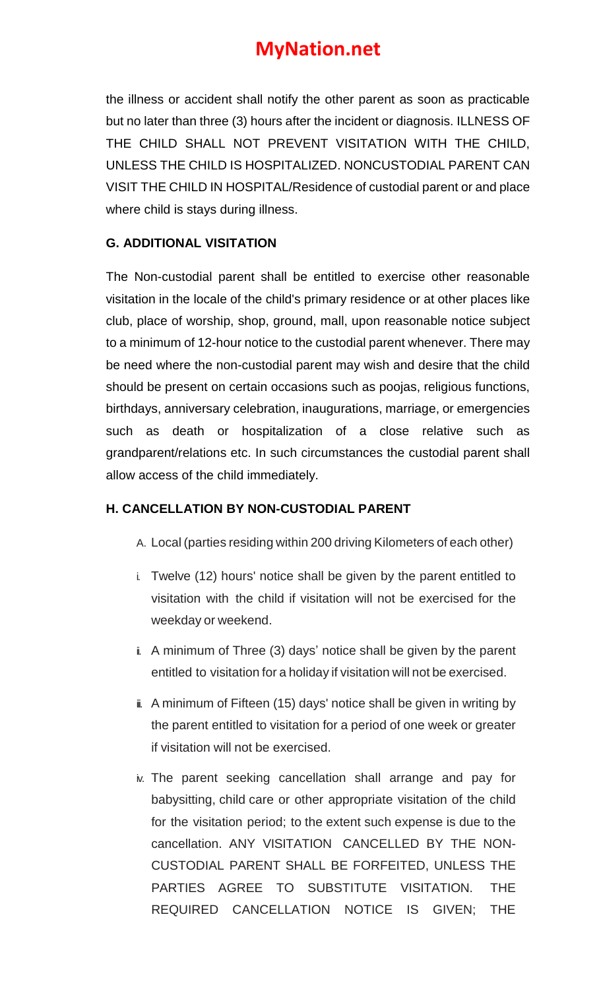the illness or accident shall notify the other parent as soon as practicable but no later than three (3) hours after the incident or diagnosis. ILLNESS OF THE CHILD SHALL NOT PREVENT VISITATION WITH THE CHILD, UNLESS THE CHILD IS HOSPITALIZED. NONCUSTODIAL PARENT CAN VISIT THE CHILD IN HOSPITAL/Residence of custodial parent or and place where child is stays during illness.

#### **G. ADDITIONAL VISITATION**

The Non-custodial parent shall be entitled to exercise other reasonable visitation in the locale of the child's primary residence or at other places like club, place of worship, shop, ground, mall, upon reasonable notice subject to a minimum of 12-hour notice to the custodial parent whenever. There may be need where the non-custodial parent may wish and desire that the child should be present on certain occasions such as poojas, religious functions, birthdays, anniversary celebration, inaugurations, marriage, or emergencies such as death or hospitalization of a close relative such as grandparent/relations etc. In such circumstances the custodial parent shall allow access of the child immediately.

#### **H. CANCELLATION BY NON-CUSTODIAL PARENT**

A. Local (parties residing within 200 driving Kilometers of each other)

- i. Twelve (12) hours' notice shall be given by the parent entitled to visitation with the child if visitation will not be exercised for the weekday or weekend.
- ii. A minimum of Three (3) days' notice shall be given by the parent entitled to visitation for a holiday if visitation will not be exercised.
- iii. A minimum of Fifteen (15) days' notice shall be given in writing by the parent entitled to visitation for a period of one week or greater if visitation will not be exercised.
- iv. The parent seeking cancellation shall arrange and pay for babysitting, child care or other appropriate visitation of the child for the visitation period; to the extent such expense is due to the cancellation. ANY VISITATION CANCELLED BY THE NON-CUSTODIAL PARENT SHALL BE FORFEITED, UNLESS THE PARTIES AGREE TO SUBSTITUTE VISITATION. THE REQUIRED CANCELLATION NOTICE IS GIVEN; THE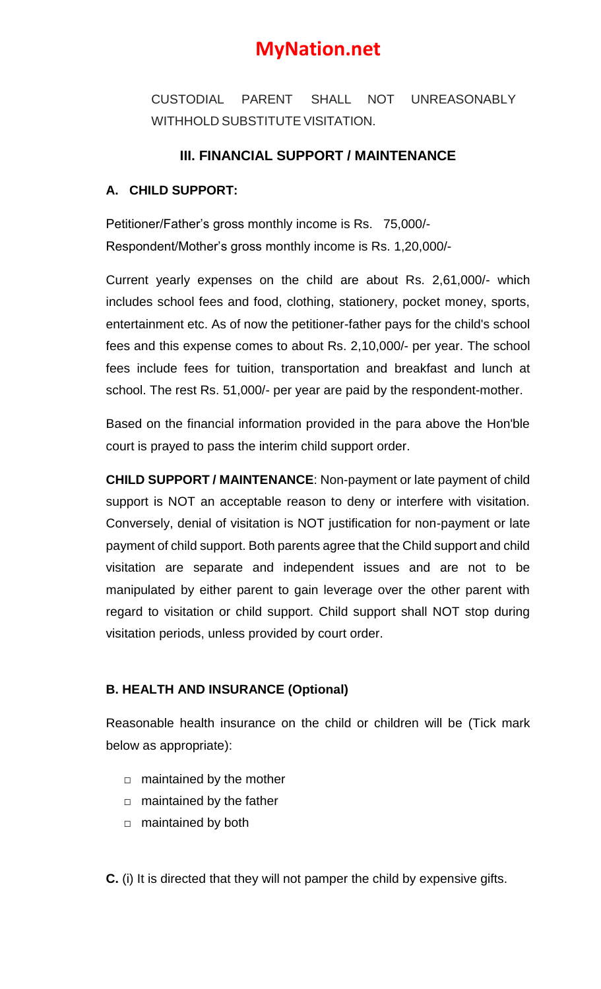CUSTODIAL PARENT SHALL NOT UNREASONABLY WITHHOLD SUBSTITUTE VISITATION.

### **III. FINANCIAL SUPPORT / MAINTENANCE**

#### **A. CHILD SUPPORT:**

Petitioner/Father's gross monthly income is Rs. 75,000/- Respondent/Mother's gross monthly income is Rs. 1,20,000/-

Current yearly expenses on the child are about Rs. 2,61,000/- which includes school fees and food, clothing, stationery, pocket money, sports, entertainment etc. As of now the petitioner-father pays for the child's school fees and this expense comes to about Rs. 2,10,000/- per year. The school fees include fees for tuition, transportation and breakfast and lunch at school. The rest Rs. 51,000/- per year are paid by the respondent-mother.

Based on the financial information provided in the para above the Hon'ble court is prayed to pass the interim child support order.

**CHILD SUPPORT / MAINTENANCE**: Non-payment or late payment of child support is NOT an acceptable reason to deny or interfere with visitation. Conversely, denial of visitation is NOT justification for non-payment or late payment of child support. Both parents agree that the Child support and child visitation are separate and independent issues and are not to be manipulated by either parent to gain leverage over the other parent with regard to visitation or child support. Child support shall NOT stop during visitation periods, unless provided by court order.

#### **B. HEALTH AND INSURANCE (Optional)**

Reasonable health insurance on the child or children will be (Tick mark below as appropriate):

- $\Box$  maintained by the mother
- $\Box$  maintained by the father
- $\Box$  maintained by both

**C.** (i) It is directed that they will not pamper the child by expensive gifts.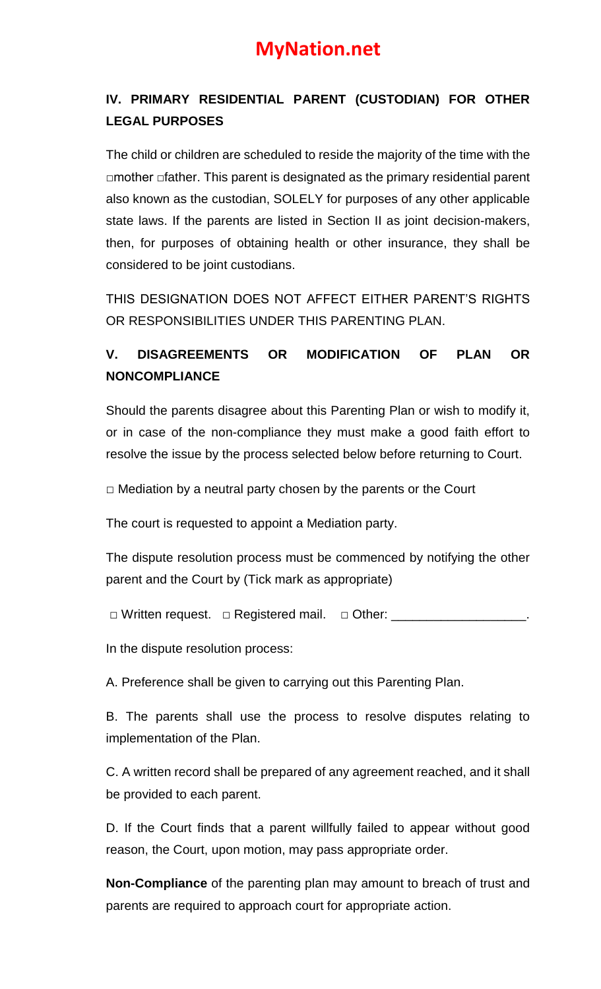## **IV. PRIMARY RESIDENTIAL PARENT (CUSTODIAN) FOR OTHER LEGAL PURPOSES**

The child or children are scheduled to reside the majority of the time with the □mother □father. This parent is designated as the primary residential parent also known as the custodian, SOLELY for purposes of any other applicable state laws. If the parents are listed in Section II as joint decision-makers, then, for purposes of obtaining health or other insurance, they shall be considered to be joint custodians.

THIS DESIGNATION DOES NOT AFFECT EITHER PARENT'S RIGHTS OR RESPONSIBILITIES UNDER THIS PARENTING PLAN.

## **V. DISAGREEMENTS OR MODIFICATION OF PLAN OR NONCOMPLIANCE**

Should the parents disagree about this Parenting Plan or wish to modify it, or in case of the non-compliance they must make a good faith effort to resolve the issue by the process selected below before returning to Court.

 $\Box$  Mediation by a neutral party chosen by the parents or the Court

The court is requested to appoint a Mediation party.

The dispute resolution process must be commenced by notifying the other parent and the Court by (Tick mark as appropriate)

□ Written request. □ Registered mail. □ Other: \_\_\_\_\_\_\_\_

In the dispute resolution process:

A. Preference shall be given to carrying out this Parenting Plan.

B. The parents shall use the process to resolve disputes relating to implementation of the Plan.

C. A written record shall be prepared of any agreement reached, and it shall be provided to each parent.

D. If the Court finds that a parent willfully failed to appear without good reason, the Court, upon motion, may pass appropriate order.

**Non-Compliance** of the parenting plan may amount to breach of trust and parents are required to approach court for appropriate action.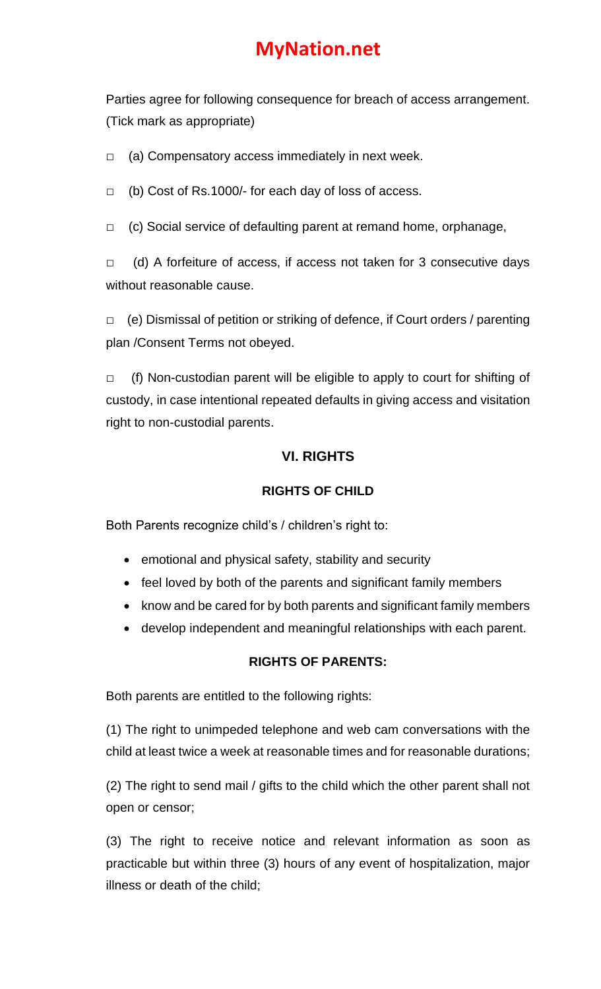Parties agree for following consequence for breach of access arrangement. (Tick mark as appropriate)

 $\Box$  (a) Compensatory access immediately in next week.

 $\Box$  (b) Cost of Rs.1000/- for each day of loss of access.

 $\Box$  (c) Social service of defaulting parent at remand home, orphanage,

□ (d) A forfeiture of access, if access not taken for 3 consecutive days without reasonable cause.

□ (e) Dismissal of petition or striking of defence, if Court orders / parenting plan /Consent Terms not obeyed.

 $\Box$  (f) Non-custodian parent will be eligible to apply to court for shifting of custody, in case intentional repeated defaults in giving access and visitation right to non-custodial parents.

## **VI. RIGHTS**

### **RIGHTS OF CHILD**

Both Parents recognize child's / children's right to:

- emotional and physical safety, stability and security
- feel loved by both of the parents and significant family members
- know and be cared for by both parents and significant family members
- develop independent and meaningful relationships with each parent.

#### **RIGHTS OF PARENTS:**

Both parents are entitled to the following rights:

(1) The right to unimpeded telephone and web cam conversations with the child at least twice a week at reasonable times and for reasonable durations;

(2) The right to send mail / gifts to the child which the other parent shall not open or censor;

(3) The right to receive notice and relevant information as soon as practicable but within three (3) hours of any event of hospitalization, major illness or death of the child;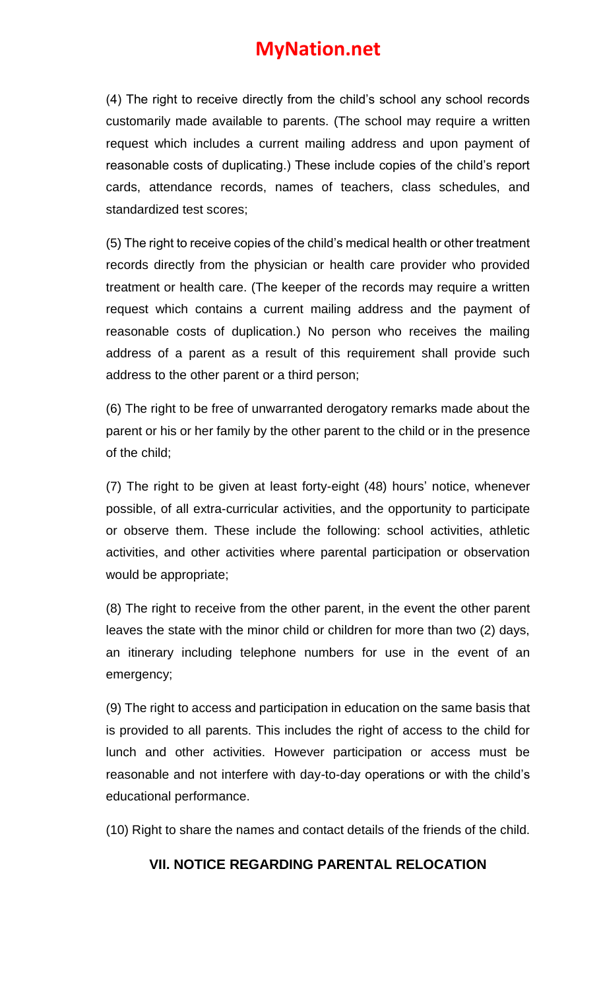(4) The right to receive directly from the child's school any school records customarily made available to parents. (The school may require a written request which includes a current mailing address and upon payment of reasonable costs of duplicating.) These include copies of the child's report cards, attendance records, names of teachers, class schedules, and standardized test scores;

(5) The right to receive copies of the child's medical health or other treatment records directly from the physician or health care provider who provided treatment or health care. (The keeper of the records may require a written request which contains a current mailing address and the payment of reasonable costs of duplication.) No person who receives the mailing address of a parent as a result of this requirement shall provide such address to the other parent or a third person;

(6) The right to be free of unwarranted derogatory remarks made about the parent or his or her family by the other parent to the child or in the presence of the child;

(7) The right to be given at least forty-eight (48) hours' notice, whenever possible, of all extra-curricular activities, and the opportunity to participate or observe them. These include the following: school activities, athletic activities, and other activities where parental participation or observation would be appropriate;

(8) The right to receive from the other parent, in the event the other parent leaves the state with the minor child or children for more than two (2) days, an itinerary including telephone numbers for use in the event of an emergency;

(9) The right to access and participation in education on the same basis that is provided to all parents. This includes the right of access to the child for lunch and other activities. However participation or access must be reasonable and not interfere with day-to-day operations or with the child's educational performance.

(10) Right to share the names and contact details of the friends of the child.

### **VII. NOTICE REGARDING PARENTAL RELOCATION**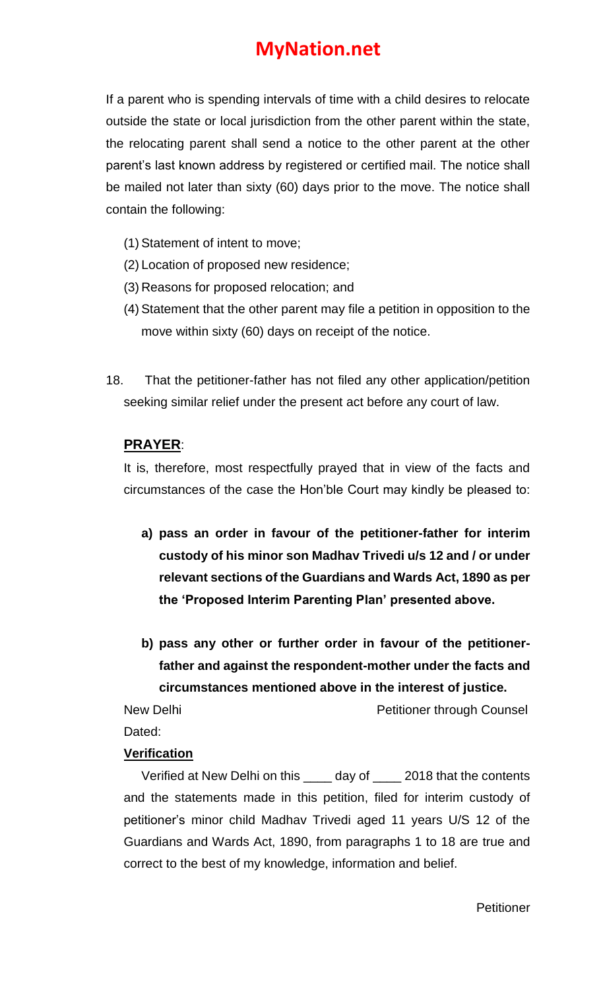If a parent who is spending intervals of time with a child desires to relocate outside the state or local jurisdiction from the other parent within the state, the relocating parent shall send a notice to the other parent at the other parent's last known address by registered or certified mail. The notice shall be mailed not later than sixty (60) days prior to the move. The notice shall contain the following:

- (1) Statement of intent to move;
- (2) Location of proposed new residence;
- (3) Reasons for proposed relocation; and
- (4) Statement that the other parent may file a petition in opposition to the move within sixty (60) days on receipt of the notice.
- 18. That the petitioner-father has not filed any other application/petition seeking similar relief under the present act before any court of law.

#### **PRAYER**:

It is, therefore, most respectfully prayed that in view of the facts and circumstances of the case the Hon'ble Court may kindly be pleased to:

- **a) pass an order in favour of the petitioner-father for interim custody of his minor son Madhav Trivedi u/s 12 and / or under relevant sections of the Guardians and Wards Act, 1890 as per the 'Proposed Interim Parenting Plan' presented above.**
- **b) pass any other or further order in favour of the petitionerfather and against the respondent-mother under the facts and circumstances mentioned above in the interest of justice.**

New Delhi **New Delhi** Petitioner through Counsel Dated:

#### **Verification**

Verified at New Delhi on this \_\_\_\_ day of \_\_\_\_ 2018 that the contents and the statements made in this petition, filed for interim custody of petitioner's minor child Madhav Trivedi aged 11 years U/S 12 of the Guardians and Wards Act, 1890, from paragraphs 1 to 18 are true and correct to the best of my knowledge, information and belief.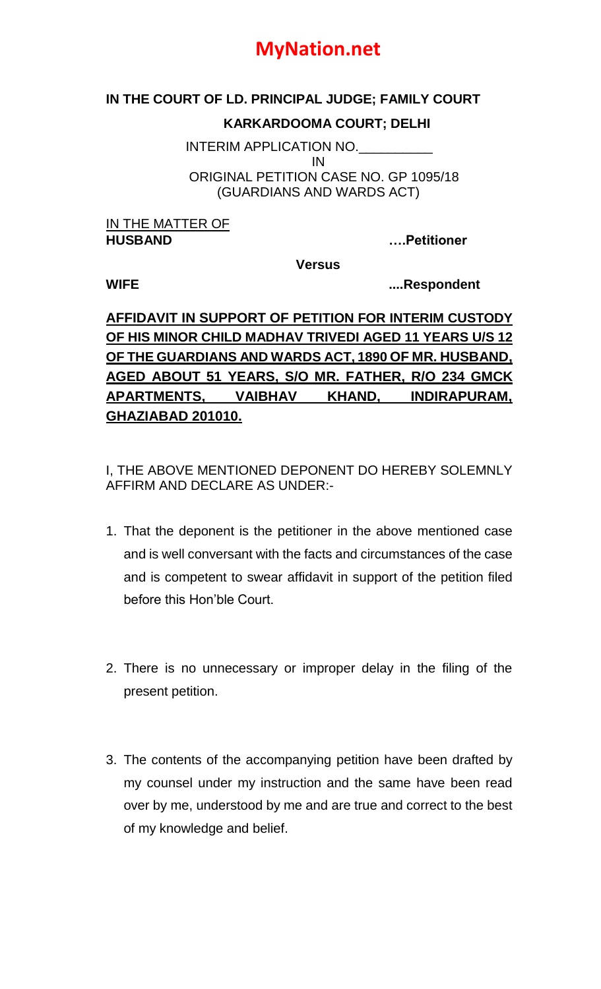## **IN THE COURT OF LD. PRINCIPAL JUDGE; FAMILY COURT KARKARDOOMA COURT; DELHI**

INTERIM APPLICATION NO. IN ORIGINAL PETITION CASE NO. GP 1095/18 (GUARDIANS AND WARDS ACT)

IN THE MATTER OF **HUSBAND ….Petitioner** 

**Versus**

**WIFE ....Respondent**

**AFFIDAVIT IN SUPPORT OF PETITION FOR INTERIM CUSTODY OF HIS MINOR CHILD MADHAV TRIVEDI AGED 11 YEARS U/S 12 OF THE GUARDIANS AND WARDS ACT, 1890 OF MR. HUSBAND, AGED ABOUT 51 YEARS, S/O MR. FATHER, R/O 234 GMCK APARTMENTS, VAIBHAV KHAND, INDIRAPURAM, GHAZIABAD 201010.**

I, THE ABOVE MENTIONED DEPONENT DO HEREBY SOLEMNLY AFFIRM AND DECLARE AS UNDER:-

- 1. That the deponent is the petitioner in the above mentioned case and is well conversant with the facts and circumstances of the case and is competent to swear affidavit in support of the petition filed before this Hon'ble Court.
- 2. There is no unnecessary or improper delay in the filing of the present petition.
- 3. The contents of the accompanying petition have been drafted by my counsel under my instruction and the same have been read over by me, understood by me and are true and correct to the best of my knowledge and belief.